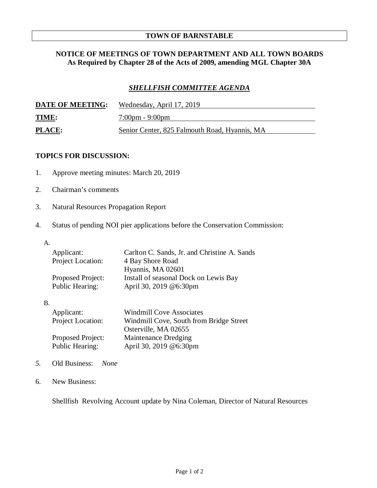## **TOWN OF BARNSTABLE**

## **NOTICE OF MEETINGS OF TOWN DEPARTMENT AND ALL TOWN BOARDS As Required by Chapter 28 of the Acts of 2009, amending MGL Chapter 30A**

## *SHELLFISH COMMITTEE AGENDA*

| <b>DATE OF MEETING:</b> | Wednesday, April 17, 2019                     |
|-------------------------|-----------------------------------------------|
| <b>TIME:</b>            | $7:00 \text{pm} - 9:00 \text{pm}$             |
| PLACE:                  | Senior Center, 825 Falmouth Road, Hyannis, MA |

## **TOPICS FOR DISCUSSION:**

- 1. Approve meeting minutes: March 20, 2019
- 2. Chairman's comments
- 3. Natural Resources Propagation Report
- 4. Status of pending NOI pier applications before the Conservation Commission:
	- A.

B.

| Applicant:        | Carlton C. Sands, Jr. and Christine A. Sands |
|-------------------|----------------------------------------------|
| Project Location: | 4 Bay Shore Road                             |
|                   | Hyannis, MA 02601                            |
| Proposed Project: | Install of seasonal Dock on Lewis Bay        |
| Public Hearing:   | April 30, 2019 @6:30pm                       |
|                   |                                              |
|                   |                                              |

| <b>Windmill Cove Associates</b>         |
|-----------------------------------------|
| Windmill Cove, South from Bridge Street |
| Osterville, MA 02655                    |
| Maintenance Dredging                    |
| April 30, 2019 @6:30pm                  |
|                                         |

- *5.* Old Business: *None*
- 6. New Business:

Shellfish Revolving Account update by Nina Coleman, Director of Natural Resources